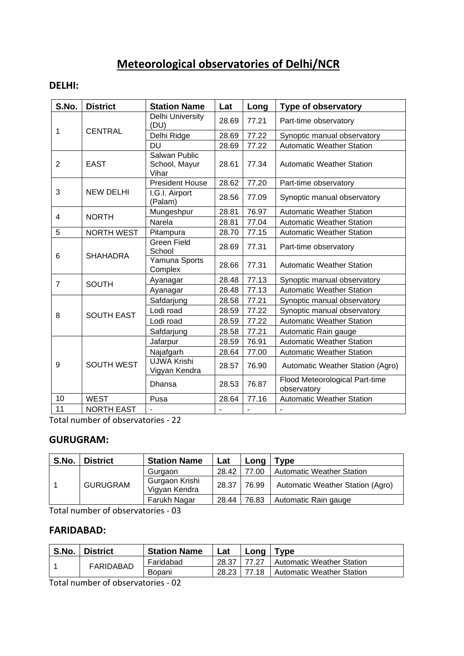# **Meteorological observatories of Delhi/NCR**

#### **DELHI:**

| S.No.          | <b>District</b>   | <b>Station Name</b>                     | Lat   | Long  | <b>Type of observatory</b>                    |
|----------------|-------------------|-----------------------------------------|-------|-------|-----------------------------------------------|
| 1              | <b>CENTRAL</b>    | Delhi University<br>(DU)                | 28.69 | 77.21 | Part-time observatory                         |
|                |                   | Delhi Ridge                             | 28.69 | 77.22 | Synoptic manual observatory                   |
|                |                   | DU                                      | 28.69 | 77.22 | <b>Automatic Weather Station</b>              |
| $\overline{2}$ | <b>EAST</b>       | Salwan Public<br>School, Mayur<br>Vihar | 28.61 | 77.34 | <b>Automatic Weather Station</b>              |
|                |                   | <b>President House</b>                  | 28.62 | 77.20 | Part-time observatory                         |
| 3              | <b>NEW DELHI</b>  | I.G.I. Airport<br>(Palam)               | 28.56 | 77.09 | Synoptic manual observatory                   |
| 4              | <b>NORTH</b>      | Mungeshpur                              | 28.81 | 76.97 | <b>Automatic Weather Station</b>              |
|                |                   | Narela                                  | 28.81 | 77.04 | <b>Automatic Weather Station</b>              |
| 5              | <b>NORTH WEST</b> | Pitampura                               | 28.70 | 77.15 | <b>Automatic Weather Station</b>              |
|                | <b>SHAHADRA</b>   | <b>Green Field</b><br>School            | 28.69 | 77.31 | Part-time observatory                         |
| 6              |                   | Yamuna Sports<br>Complex                | 28.66 | 77.31 | <b>Automatic Weather Station</b>              |
| $\overline{7}$ | <b>SOUTH</b>      | Ayanagar                                | 28.48 | 77.13 | Synoptic manual observatory                   |
|                |                   | Ayanagar                                | 28.48 | 77.13 | <b>Automatic Weather Station</b>              |
|                | <b>SOUTH EAST</b> | Safdarjung                              | 28.58 | 77.21 | Synoptic manual observatory                   |
|                |                   | Lodi road                               | 28.59 | 77.22 | Synoptic manual observatory                   |
| 8              |                   | Lodi road                               | 28.59 | 77.22 | <b>Automatic Weather Station</b>              |
|                |                   | Safdarjung                              | 28.58 | 77.21 | Automatic Rain gauge                          |
| 9              | <b>SOUTH WEST</b> | Jafarpur                                | 28.59 | 76.91 | <b>Automatic Weather Station</b>              |
|                |                   | Najafgarh                               | 28.64 | 77.00 | <b>Automatic Weather Station</b>              |
|                |                   | <b>UJWA Krishi</b><br>Vigyan Kendra     | 28.57 | 76.90 | Automatic Weather Station (Agro)              |
|                |                   | Dhansa                                  | 28.53 | 76.87 | Flood Meteorological Part-time<br>observatory |
| 10             | <b>WEST</b>       | Pusa                                    | 28.64 | 77.16 | <b>Automatic Weather Station</b>              |
| 11             | <b>NORTH EAST</b> |                                         |       |       |                                               |

Total number of observatories - 22

#### **GURUGRAM:**

| S.No. | <b>District</b> | <b>Station Name</b>             | Lat   | Long  | Type                             |
|-------|-----------------|---------------------------------|-------|-------|----------------------------------|
|       | <b>GURUGRAM</b> | Gurgaon                         | 28.42 | 77.00 | <b>Automatic Weather Station</b> |
|       |                 | Gurgaon Krishi<br>Vigyan Kendra | 28.37 | 76.99 | Automatic Weather Station (Agro) |
|       |                 | Farukh Nagar                    | 28.44 | 76.83 | Automatic Rain gauge             |

Total number of observatories - 03

#### **FARIDABAD:**

| S.No. | <b>District</b> | <b>Station Name</b> | Lat   | Long  | ™vpe                             |
|-------|-----------------|---------------------|-------|-------|----------------------------------|
|       | FARIDABAD       | Faridabad           | 28.37 | 77.27 | <b>Automatic Weather Station</b> |
|       |                 | Bopani              | 28.23 | 77.18 | <b>Automatic Weather Station</b> |

Total number of observatories - 02